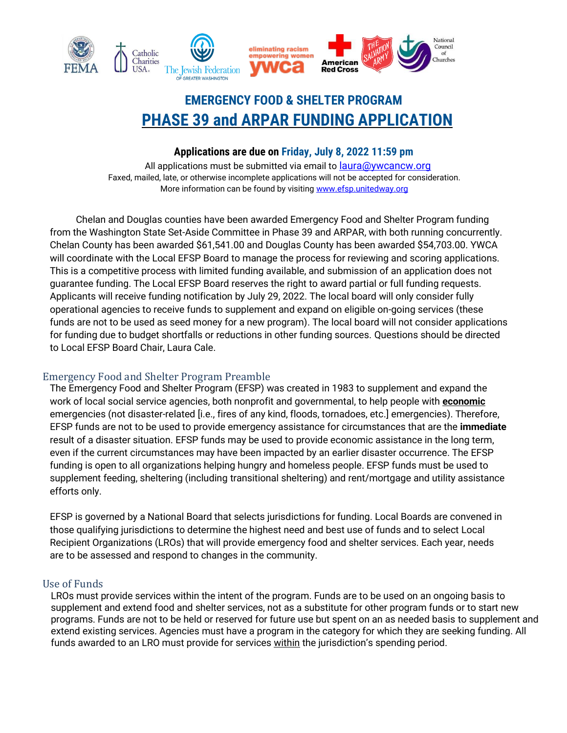

# **EMERGENCY FOOD & SHELTER PROGRAM PHASE 39 and ARPAR FUNDING APPLICATION**

## **Applications are due on Friday, July 8, 2022 11:59 pm**

All applications must be submitted via email to [laura@ywcancw.org](mailto:laura@ywcancw.org) Faxed, mailed, late, or otherwise incomplete applications will not be accepted for consideration. More information can be found by visiting [www.efsp.unitedway.org](http://www.efsp.unitedway.org/)

Chelan and Douglas counties have been awarded Emergency Food and Shelter Program funding from the Washington State Set-Aside Committee in Phase 39 and ARPAR, with both running concurrently. Chelan County has been awarded \$61,541.00 and Douglas County has been awarded \$54,703.00. YWCA will coordinate with the Local EFSP Board to manage the process for reviewing and scoring applications. This is a competitive process with limited funding available, and submission of an application does not guarantee funding. The Local EFSP Board reserves the right to award partial or full funding requests. Applicants will receive funding notification by July 29, 2022. The local board will only consider fully operational agencies to receive funds to supplement and expand on eligible on-going services (these funds are not to be used as seed money for a new program). The local board will not consider applications for funding due to budget shortfalls or reductions in other funding sources. Questions should be directed to Local EFSP Board Chair, Laura Cale.

## Emergency Food and Shelter Program Preamble

The Emergency Food and Shelter Program (EFSP) was created in 1983 to supplement and expand the work of local social service agencies, both nonprofit and governmental, to help people with **economic** emergencies (not disaster-related [i.e., fires of any kind, floods, tornadoes, etc.] emergencies). Therefore, EFSP funds are not to be used to provide emergency assistance for circumstances that are the **immediate** result of a disaster situation. EFSP funds may be used to provide economic assistance in the long term, even if the current circumstances may have been impacted by an earlier disaster occurrence. The EFSP funding is open to all organizations helping hungry and homeless people. EFSP funds must be used to supplement feeding, sheltering (including transitional sheltering) and rent/mortgage and utility assistance efforts only.

EFSP is governed by a National Board that selects jurisdictions for funding. Local Boards are convened in those qualifying jurisdictions to determine the highest need and best use of funds and to select Local Recipient Organizations (LROs) that will provide emergency food and shelter services. Each year, needs are to be assessed and respond to changes in the community.

## Use of Funds

LROs must provide services within the intent of the program. Funds are to be used on an ongoing basis to supplement and extend food and shelter services, not as a substitute for other program funds or to start new programs. Funds are not to be held or reserved for future use but spent on an as needed basis to supplement and extend existing services. Agencies must have a program in the category for which they are seeking funding. All funds awarded to an LRO must provide for services within the jurisdiction's spending period.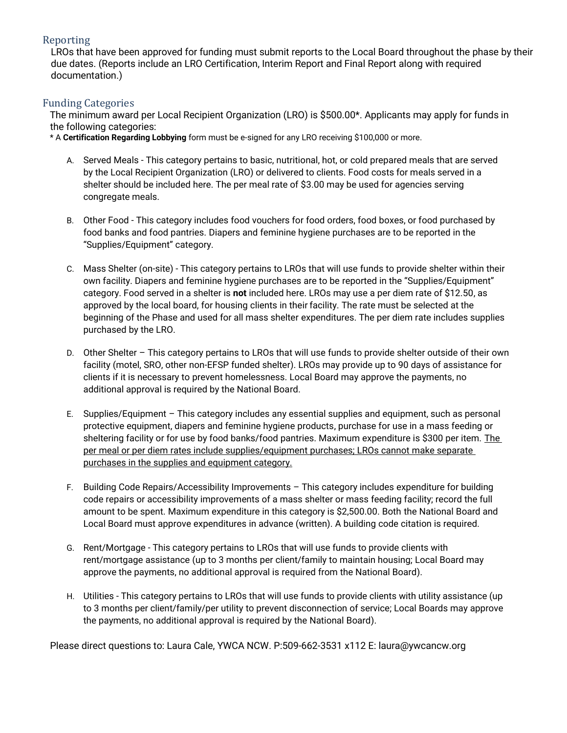## Reporting

LROs that have been approved for funding must submit reports to the Local Board throughout the phase by their due dates. (Reports include an LRO Certification, Interim Report and Final Report along with required documentation.)

#### Funding Categories

The minimum award per Local Recipient Organization (LRO) is \$500.00\*. Applicants may apply for funds in the following categories:

\* A **Certification Regarding Lobbying** form must be e-signed for any LRO receiving \$100,000 or more.

- A. Served Meals This category pertains to basic, nutritional, hot, or cold prepared meals that are served by the Local Recipient Organization (LRO) or delivered to clients. Food costs for meals served in a shelter should be included here. The per meal rate of \$3.00 may be used for agencies serving congregate meals.
- B. Other Food This category includes food vouchers for food orders, food boxes, or food purchased by food banks and food pantries. Diapers and feminine hygiene purchases are to be reported in the "Supplies/Equipment" category.
- C. Mass Shelter (on-site) This category pertains to LROs that will use funds to provide shelter within their own facility. Diapers and feminine hygiene purchases are to be reported in the "Supplies/Equipment" category. Food served in a shelter is **not** included here. LROs may use a per diem rate of \$12.50, as approved by the local board, for housing clients in their facility. The rate must be selected at the beginning of the Phase and used for all mass shelter expenditures. The per diem rate includes supplies purchased by the LRO.
- D. Other Shelter This category pertains to LROs that will use funds to provide shelter outside of their own facility (motel, SRO, other non-EFSP funded shelter). LROs may provide up to 90 days of assistance for clients if it is necessary to prevent homelessness. Local Board may approve the payments, no additional approval is required by the National Board.
- E. Supplies/Equipment This category includes any essential supplies and equipment, such as personal protective equipment, diapers and feminine hygiene products, purchase for use in a mass feeding or sheltering facility or for use by food banks/food pantries. Maximum expenditure is \$300 per item. The per meal or per diem rates include supplies/equipment purchases; LROs cannot make separate purchases in the supplies and equipment category.
- F. Building Code Repairs/Accessibility Improvements This category includes expenditure for building code repairs or accessibility improvements of a mass shelter or mass feeding facility; record the full amount to be spent. Maximum expenditure in this category is \$2,500.00. Both the National Board and Local Board must approve expenditures in advance (written). A building code citation is required.
- G. Rent/Mortgage This category pertains to LROs that will use funds to provide clients with rent/mortgage assistance (up to 3 months per client/family to maintain housing; Local Board may approve the payments, no additional approval is required from the National Board).
- H. Utilities This category pertains to LROs that will use funds to provide clients with utility assistance (up to 3 months per client/family/per utility to prevent disconnection of service; Local Boards may approve the payments, no additional approval is required by the National Board).

Please direct questions to: Laura Cale, YWCA NCW. P:509-662-3531 x112 E: laura@ywcancw.org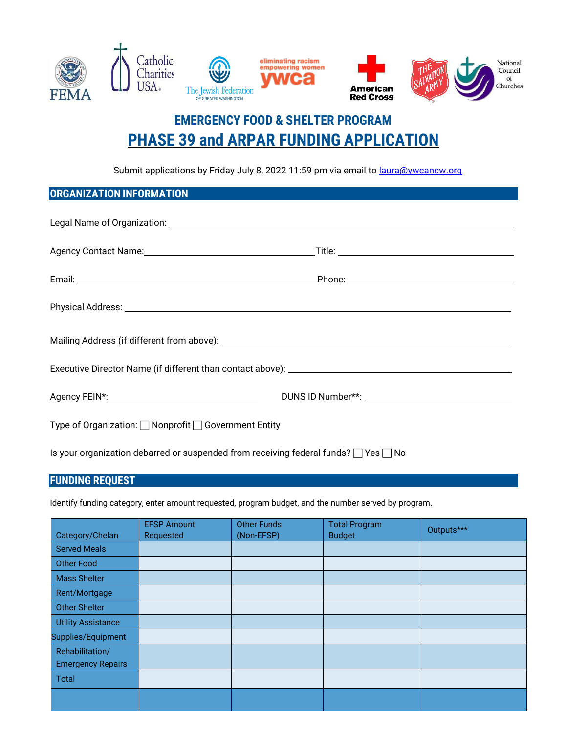

# **EMERGENCY FOOD & SHELTER PROGRAM PHASE 39 and ARPAR FUNDING APPLICATION**

Submit applications by Friday July 8, 2022 11:59 pm via email to *[laura@ywcancw.org](mailto:laura@ywcancw.org)* 

## **ORGANIZATION INFORMATION**

| Agency FEIN*: New York Contract Contract Contract Contract Contract Contract Contract Contract Contract Contract Contract Contract Contract Contract Contract Contract Contract Contract Contract Contract Contract Contract C |  |  |  |
|--------------------------------------------------------------------------------------------------------------------------------------------------------------------------------------------------------------------------------|--|--|--|
| Type of Organization: □ Nonprofit □ Government Entity                                                                                                                                                                          |  |  |  |

Is your organization debarred or suspended from receiving federal funds?  $\Box$  Yes  $\Box$  No

## **FUNDING REQUEST**

Identify funding category, enter amount requested, program budget, and the number served by program.

| Category/Chelan           | <b>EFSP Amount</b><br>Requested | <b>Other Funds</b><br>(Non-EFSP) | <b>Total Program</b><br><b>Budget</b> | Outputs*** |
|---------------------------|---------------------------------|----------------------------------|---------------------------------------|------------|
| <b>Served Meals</b>       |                                 |                                  |                                       |            |
| <b>Other Food</b>         |                                 |                                  |                                       |            |
| <b>Mass Shelter</b>       |                                 |                                  |                                       |            |
| Rent/Mortgage             |                                 |                                  |                                       |            |
| <b>Other Shelter</b>      |                                 |                                  |                                       |            |
| <b>Utility Assistance</b> |                                 |                                  |                                       |            |
| Supplies/Equipment        |                                 |                                  |                                       |            |
| Rehabilitation/           |                                 |                                  |                                       |            |
| <b>Emergency Repairs</b>  |                                 |                                  |                                       |            |
| Total                     |                                 |                                  |                                       |            |
|                           |                                 |                                  |                                       |            |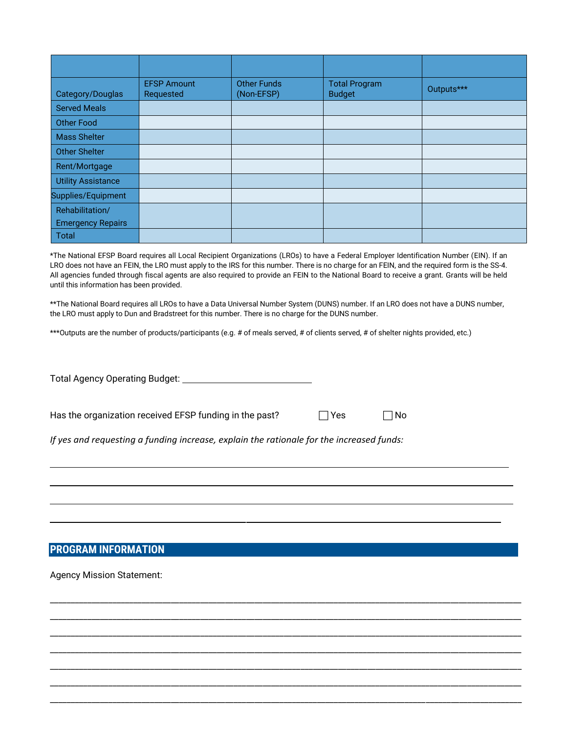| Category/Douglas          | <b>EFSP Amount</b><br>Requested | <b>Other Funds</b><br>(Non-EFSP) | <b>Total Program</b><br><b>Budget</b> | Outputs*** |
|---------------------------|---------------------------------|----------------------------------|---------------------------------------|------------|
| <b>Served Meals</b>       |                                 |                                  |                                       |            |
| <b>Other Food</b>         |                                 |                                  |                                       |            |
| <b>Mass Shelter</b>       |                                 |                                  |                                       |            |
| <b>Other Shelter</b>      |                                 |                                  |                                       |            |
| Rent/Mortgage             |                                 |                                  |                                       |            |
| <b>Utility Assistance</b> |                                 |                                  |                                       |            |
| Supplies/Equipment        |                                 |                                  |                                       |            |
| Rehabilitation/           |                                 |                                  |                                       |            |
| <b>Emergency Repairs</b>  |                                 |                                  |                                       |            |
| Total                     |                                 |                                  |                                       |            |

\*The National EFSP Board requires all Local Recipient Organizations (LROs) to have a Federal Employer Identification Number (EIN). If an LRO does not have an FEIN, the LRO must apply to the IRS for this number. There is no charge for an FEIN, and the required form is the SS-4. All agencies funded through fiscal agents are also required to provide an FEIN to the National Board to receive a grant. Grants will be held until this information has been provided.

\*\*The National Board requires all LROs to have a Data Universal Number System (DUNS) number. If an LRO does not have a DUNS number, the LRO must apply to Dun and Bradstreet for this number. There is no charge for the DUNS number.

\_\_\_\_\_\_\_\_\_\_\_\_\_\_\_\_\_\_\_\_\_\_\_\_\_\_\_\_\_\_\_\_\_\_\_\_\_\_\_\_\_\_\_\_\_\_\_\_\_\_\_\_\_\_\_\_\_\_\_\_\_\_\_\_\_\_\_\_\_\_\_\_\_\_\_\_\_\_\_\_\_\_\_\_\_\_\_\_\_\_\_\_\_\_\_\_\_\_\_\_\_\_\_\_\_\_\_\_\_\_\_\_\_ \_\_\_\_\_\_\_\_\_\_\_\_\_\_\_\_\_\_\_\_\_\_\_\_\_\_\_\_\_\_\_\_\_\_\_\_\_\_\_\_\_\_\_\_\_\_\_\_\_\_\_\_\_\_\_\_\_\_\_\_\_\_\_\_\_\_\_\_\_\_\_\_\_\_\_\_\_\_\_\_\_\_\_\_\_\_\_\_\_\_\_\_\_\_\_\_\_\_\_\_\_\_\_\_\_\_\_\_\_\_\_\_\_ \_\_\_\_\_\_\_\_\_\_\_\_\_\_\_\_\_\_\_\_\_\_\_\_\_\_\_\_\_\_\_\_\_\_\_\_\_\_\_\_\_\_\_\_\_\_\_\_\_\_\_\_\_\_\_\_\_\_\_\_\_\_\_\_\_\_\_\_\_\_\_\_\_\_\_\_\_\_\_\_\_\_\_\_\_\_\_\_\_\_\_\_\_\_\_\_\_\_\_\_\_\_\_\_\_\_\_\_\_\_\_\_\_ \_\_\_\_\_\_\_\_\_\_\_\_\_\_\_\_\_\_\_\_\_\_\_\_\_\_\_\_\_\_\_\_\_\_\_\_\_\_\_\_\_\_\_\_\_\_\_\_\_\_\_\_\_\_\_\_\_\_\_\_\_\_\_\_\_\_\_\_\_\_\_\_\_\_\_\_\_\_\_\_\_\_\_\_\_\_\_\_\_\_\_\_\_\_\_\_\_\_\_\_\_\_\_\_\_\_\_\_\_\_\_\_\_ \_\_\_\_\_\_\_\_\_\_\_\_\_\_\_\_\_\_\_\_\_\_\_\_\_\_\_\_\_\_\_\_\_\_\_\_\_\_\_\_\_\_\_\_\_\_\_\_\_\_\_\_\_\_\_\_\_\_\_\_\_\_\_\_\_\_\_\_\_\_\_\_\_\_\_\_\_\_\_\_\_\_\_\_\_\_\_\_\_\_\_\_\_\_\_\_\_\_\_\_\_\_\_\_\_\_\_\_\_\_\_\_\_ \_\_\_\_\_\_\_\_\_\_\_\_\_\_\_\_\_\_\_\_\_\_\_\_\_\_\_\_\_\_\_\_\_\_\_\_\_\_\_\_\_\_\_\_\_\_\_\_\_\_\_\_\_\_\_\_\_\_\_\_\_\_\_\_\_\_\_\_\_\_\_\_\_\_\_\_\_\_\_\_\_\_\_\_\_\_\_\_\_\_\_\_\_\_\_\_\_\_\_\_\_\_\_\_\_\_\_\_\_\_\_\_\_ \_\_\_\_\_\_\_\_\_\_\_\_\_\_\_\_\_\_\_\_\_\_\_\_\_\_\_\_\_\_\_\_\_\_\_\_\_\_\_\_\_\_\_\_\_\_\_\_\_\_\_\_\_\_\_\_\_\_\_\_\_\_\_\_\_\_\_\_\_\_\_\_\_\_\_\_\_\_\_\_\_\_\_\_\_\_\_\_\_\_\_\_\_\_\_\_\_\_\_\_\_\_\_\_\_\_\_\_\_\_\_\_\_

\*\*\*Outputs are the number of products/participants (e.g. # of meals served, # of clients served, # of shelter nights provided, etc.)

Total Agency Operating Budget:

Has the organization received EFSP funding in the past?  $\Box$  Yes  $\Box$  No

*If yes and requesting a funding increase, explain the rationale for the increased funds:*

## **PROGRAM INFORMATION**

Agency Mission Statement: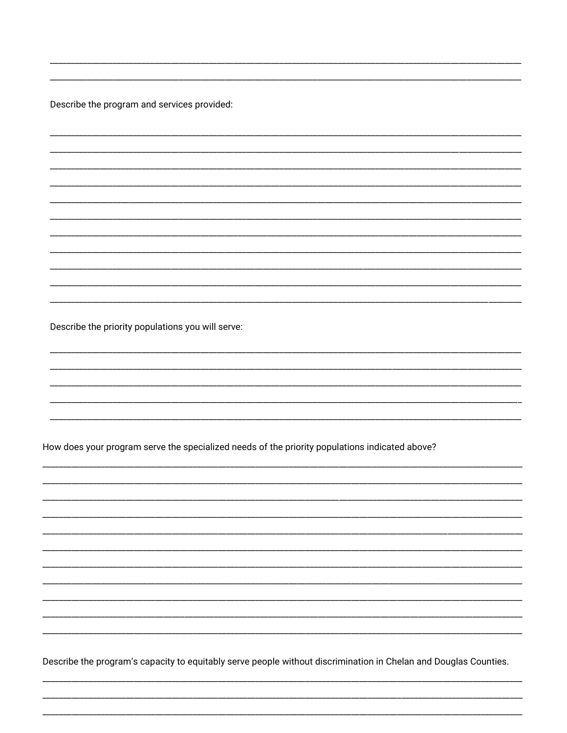Describe the program and services provided:

Describe the priority populations you will serve:

How does your program serve the specialized needs of the priority populations indicated above?

Describe the program's capacity to equitably serve people without discrimination in Chelan and Douglas Counties.